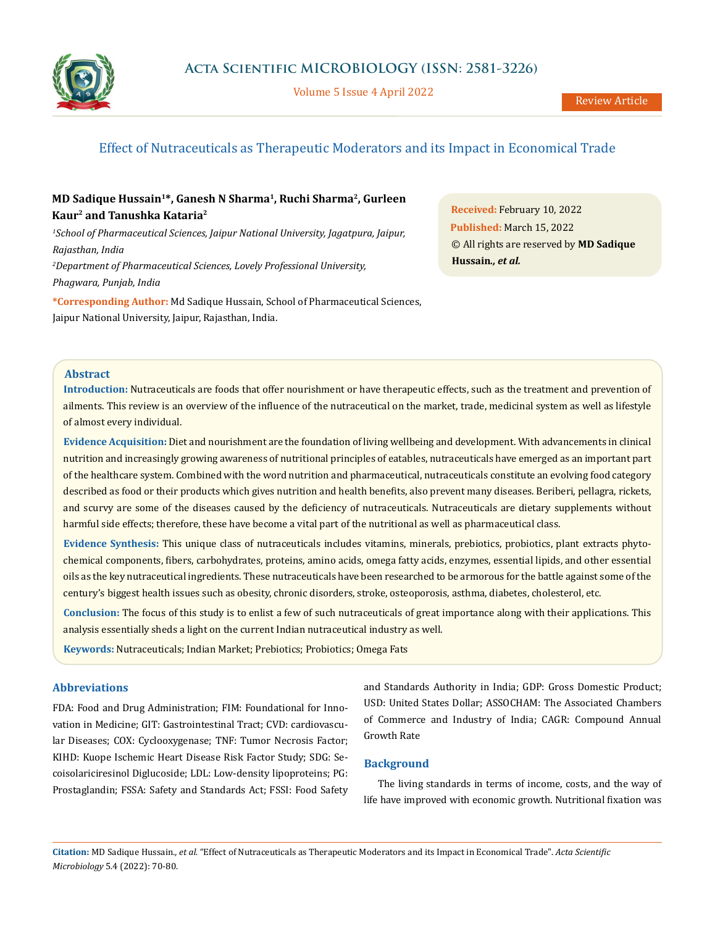

Volume 5 Issue 4 April 2022

# Effect of Nutraceuticals as Therapeutic Moderators and its Impact in Economical Trade

# **MD Sadique Hussain1\*, Ganesh N Sharma1, Ruchi Sharma2, Gurleen Kaur2 and Tanushka Kataria2**

*1 School of Pharmaceutical Sciences, Jaipur National University, Jagatpura, Jaipur, Rajasthan, India 2 Department of Pharmaceutical Sciences, Lovely Professional University,*

*Phagwara, Punjab, India*

**\*Corresponding Author:** Md Sadique Hussain, School of Pharmaceutical Sciences, Jaipur National University, Jaipur, Rajasthan, India.

**Received:** February 10, 2022 **Published:** March 15, 2022 © All rights are reserved by **MD Sadique Hussain***., et al.*

# **Abstract**

**Introduction:** Nutraceuticals are foods that offer nourishment or have therapeutic effects, such as the treatment and prevention of ailments. This review is an overview of the influence of the nutraceutical on the market, trade, medicinal system as well as lifestyle of almost every individual.

**Evidence Acquisition:** Diet and nourishment are the foundation of living wellbeing and development. With advancements in clinical nutrition and increasingly growing awareness of nutritional principles of eatables, nutraceuticals have emerged as an important part of the healthcare system. Combined with the word nutrition and pharmaceutical, nutraceuticals constitute an evolving food category described as food or their products which gives nutrition and health benefits, also prevent many diseases. Beriberi, pellagra, rickets, and scurvy are some of the diseases caused by the deficiency of nutraceuticals. Nutraceuticals are dietary supplements without harmful side effects; therefore, these have become a vital part of the nutritional as well as pharmaceutical class.

**Evidence Synthesis:** This unique class of nutraceuticals includes vitamins, minerals, prebiotics, probiotics, plant extracts phytochemical components, fibers, carbohydrates, proteins, amino acids, omega fatty acids, enzymes, essential lipids, and other essential oils as the key nutraceutical ingredients. These nutraceuticals have been researched to be armorous for the battle against some of the century's biggest health issues such as obesity, chronic disorders, stroke, osteoporosis, asthma, diabetes, cholesterol, etc.

**Conclusion:** The focus of this study is to enlist a few of such nutraceuticals of great importance along with their applications. This analysis essentially sheds a light on the current Indian nutraceutical industry as well.

**Keywords:** Nutraceuticals; Indian Market; Prebiotics; Probiotics; Omega Fats

# **Abbreviations**

FDA: Food and Drug Administration; FIM: Foundational for Innovation in Medicine; GIT: Gastrointestinal Tract; CVD: cardiovascular Diseases; COX: Cyclooxygenase; TNF: Tumor Necrosis Factor; KIHD: Kuope Ischemic Heart Disease Risk Factor Study; SDG: Secoisolariciresinol Diglucoside; LDL: Low-density lipoproteins; PG: Prostaglandin; FSSA: Safety and Standards Act; FSSI: Food Safety and Standards Authority in India; GDP: Gross Domestic Product; USD: United States Dollar; ASSOCHAM: The Associated Chambers of Commerce and Industry of India; CAGR: Compound Annual Growth Rate

# **Background**

The living standards in terms of income, costs, and the way of life have improved with economic growth. Nutritional fixation was

**Citation:** MD Sadique Hussain*., et al.* "Effect of Nutraceuticals as Therapeutic Moderators and its Impact in Economical Trade". *Acta Scientific Microbiology* 5.4 (2022): 70-80.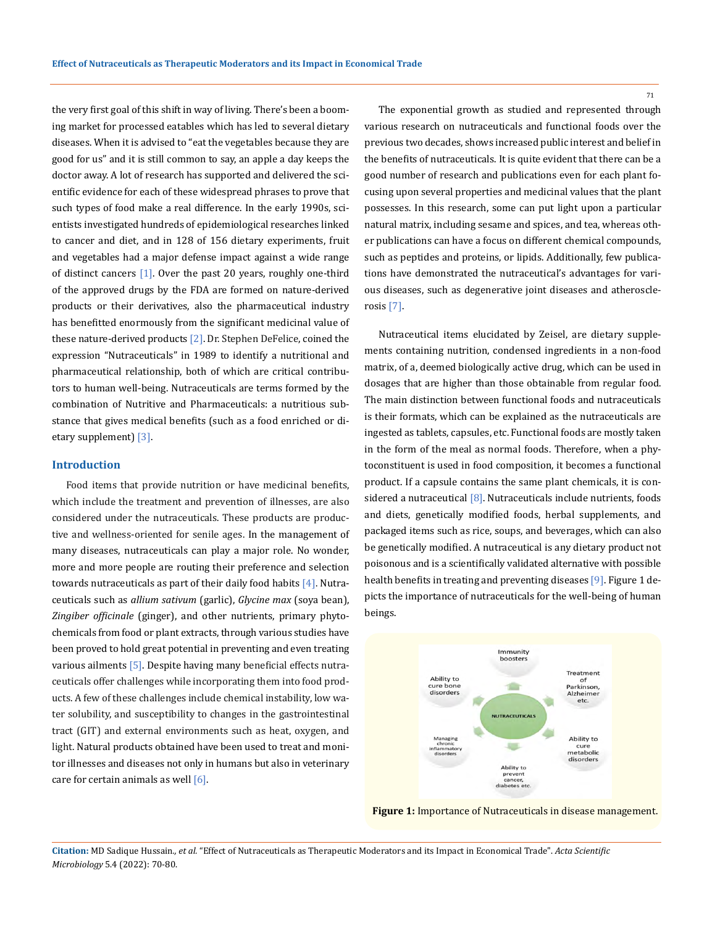the very first goal of this shift in way of living. There's been a booming market for processed eatables which has led to several dietary diseases. When it is advised to "eat the vegetables because they are good for us" and it is still common to say, an apple a day keeps the doctor away. A lot of research has supported and delivered the scientific evidence for each of these widespread phrases to prove that such types of food make a real difference. In the early 1990s, scientists investigated hundreds of epidemiological researches linked to cancer and diet, and in 128 of 156 dietary experiments, fruit and vegetables had a major defense impact against a wide range of distinct cancers [1]. Over the past 20 years, roughly one-third of the approved drugs by the FDA are formed on nature-derived products or their derivatives, also the pharmaceutical industry has benefitted enormously from the significant medicinal value of these nature-derived products [2]. Dr. Stephen DeFelice, coined the expression "Nutraceuticals" in 1989 to identify a nutritional and pharmaceutical relationship, both of which are critical contributors to human well-being. Nutraceuticals are terms formed by the combination of Nutritive and Pharmaceuticals: a nutritious substance that gives medical benefits (such as a food enriched or dietary supplement) [3].

#### **Introduction**

Food items that provide nutrition or have medicinal benefits, which include the treatment and prevention of illnesses, are also considered under the nutraceuticals. These products are productive and wellness-oriented for senile ages. In the management of many diseases, nutraceuticals can play a major role. No wonder, more and more people are routing their preference and selection towards nutraceuticals as part of their daily food habits  $[4]$ . Nutraceuticals such as *allium sativum* (garlic), *Glycine max* (soya bean), *Zingiber officinale* (ginger), and other nutrients, primary phytochemicals from food or plant extracts, through various studies have been proved to hold great potential in preventing and even treating various ailments [5]. Despite having many beneficial effects nutraceuticals offer challenges while incorporating them into food products. A few of these challenges include chemical instability, low water solubility, and susceptibility to changes in the gastrointestinal tract (GIT) and external environments such as heat, oxygen, and light. Natural products obtained have been used to treat and monitor illnesses and diseases not only in humans but also in veterinary care for certain animals as well  $[6]$ .

The exponential growth as studied and represented through various research on nutraceuticals and functional foods over the previous two decades, shows increased public interest and belief in the benefits of nutraceuticals. It is quite evident that there can be a good number of research and publications even for each plant focusing upon several properties and medicinal values that the plant possesses. In this research, some can put light upon a particular natural matrix, including sesame and spices, and tea, whereas other publications can have a focus on different chemical compounds, such as peptides and proteins, or lipids. Additionally, few publications have demonstrated the nutraceutical's advantages for various diseases, such as degenerative joint diseases and atherosclerosis [7].

Nutraceutical items elucidated by Zeisel, are dietary supplements containing nutrition, condensed ingredients in a non-food matrix, of a, deemed biologically active drug, which can be used in dosages that are higher than those obtainable from regular food. The main distinction between functional foods and nutraceuticals is their formats, which can be explained as the nutraceuticals are ingested as tablets, capsules, etc. Functional foods are mostly taken in the form of the meal as normal foods. Therefore, when a phytoconstituent is used in food composition, it becomes a functional product. If a capsule contains the same plant chemicals, it is considered a nutraceutical [8]. Nutraceuticals include nutrients, foods and diets, genetically modified foods, herbal supplements, and packaged items such as rice, soups, and beverages, which can also be genetically modified. A nutraceutical is any dietary product not poisonous and is a scientifically validated alternative with possible health benefits in treating and preventing diseases [9]. Figure 1 depicts the importance of nutraceuticals for the well-being of human beings.



**Figure 1:** Importance of Nutraceuticals in disease management.

**Citation:** MD Sadique Hussain*., et al.* "Effect of Nutraceuticals as Therapeutic Moderators and its Impact in Economical Trade". *Acta Scientific Microbiology* 5.4 (2022): 70-80.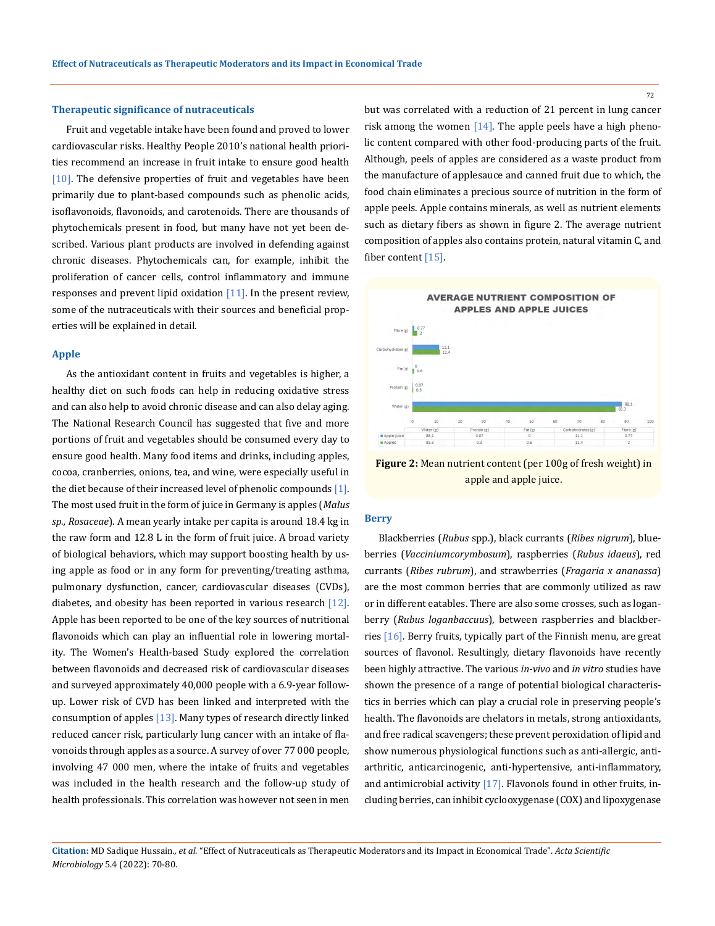#### **Therapeutic significance of nutraceuticals**

Fruit and vegetable intake have been found and proved to lower cardiovascular risks. Healthy People 2010's national health priorities recommend an increase in fruit intake to ensure good health [10]. The defensive properties of fruit and vegetables have been primarily due to plant-based compounds such as phenolic acids, isoflavonoids, flavonoids, and carotenoids. There are thousands of phytochemicals present in food, but many have not yet been described. Various plant products are involved in defending against chronic diseases. Phytochemicals can, for example, inhibit the proliferation of cancer cells, control inflammatory and immune responses and prevent lipid oxidation  $[11]$ . In the present review, some of the nutraceuticals with their sources and beneficial properties will be explained in detail.

### **Apple**

As the antioxidant content in fruits and vegetables is higher, a healthy diet on such foods can help in reducing oxidative stress and can also help to avoid chronic disease and can also delay aging. The National Research Council has suggested that five and more portions of fruit and vegetables should be consumed every day to ensure good health. Many food items and drinks, including apples, cocoa, cranberries, onions, tea, and wine, were especially useful in the diet because of their increased level of phenolic compounds  $[1]$ . The most used fruit in the form of juice in Germany is apples (*Malus sp., Rosaceae*). A mean yearly intake per capita is around 18.4 kg in the raw form and 12.8 L in the form of fruit juice. A broad variety of biological behaviors, which may support boosting health by using apple as food or in any form for preventing/treating asthma, pulmonary dysfunction, cancer, cardiovascular diseases (CVDs), diabetes, and obesity has been reported in various research [12]. Apple has been reported to be one of the key sources of nutritional flavonoids which can play an influential role in lowering mortality. The Women's Health-based Study explored the correlation between flavonoids and decreased risk of cardiovascular diseases and surveyed approximately 40,000 people with a 6.9-year followup. Lower risk of CVD has been linked and interpreted with the consumption of apples  $[13]$ . Many types of research directly linked reduced cancer risk, particularly lung cancer with an intake of flavonoids through apples as a source. A survey of over 77 000 people, involving 47 000 men, where the intake of fruits and vegetables was included in the health research and the follow-up study of health professionals. This correlation was however not seen in men

but was correlated with a reduction of 21 percent in lung cancer risk among the women  $[14]$ . The apple peels have a high phenolic content compared with other food-producing parts of the fruit. Although, peels of apples are considered as a waste product from the manufacture of applesauce and canned fruit due to which, the food chain eliminates a precious source of nutrition in the form of apple peels. Apple contains minerals, as well as nutrient elements such as dietary fibers as shown in figure 2. The average nutrient composition of apples also contains protein, natural vitamin C, and fiber content [15].



**Figure 2:** Mean nutrient content (per 100g of fresh weight) in apple and apple juice.

## **Berry**

Blackberries (*Rubus* spp.), black currants (*Ribes nigrum*), blueberries (*Vacciniumcorymbosum*), raspberries (*Rubus idaeus*), red currants (*Ribes rubrum*), and strawberries (*Fragaria x ananassa*) are the most common berries that are commonly utilized as raw or in different eatables. There are also some crosses, such as loganberry (*Rubus loganbaccuus*), between raspberries and blackberries [16]. Berry fruits, typically part of the Finnish menu, are great sources of flavonol. Resultingly, dietary flavonoids have recently been highly attractive. The various *in-vivo* and *in vitro* studies have shown the presence of a range of potential biological characteristics in berries which can play a crucial role in preserving people's health. The flavonoids are chelators in metals, strong antioxidants, and free radical scavengers; these prevent peroxidation of lipid and show numerous physiological functions such as anti-allergic, antiarthritic, anticarcinogenic, anti-hypertensive, anti-inflammatory, and antimicrobial activity  $[17]$ . Flavonols found in other fruits, including berries, can inhibit cyclooxygenase (COX) and lipoxygenase

**Citation:** MD Sadique Hussain*., et al.* "Effect of Nutraceuticals as Therapeutic Moderators and its Impact in Economical Trade". *Acta Scientific Microbiology* 5.4 (2022): 70-80.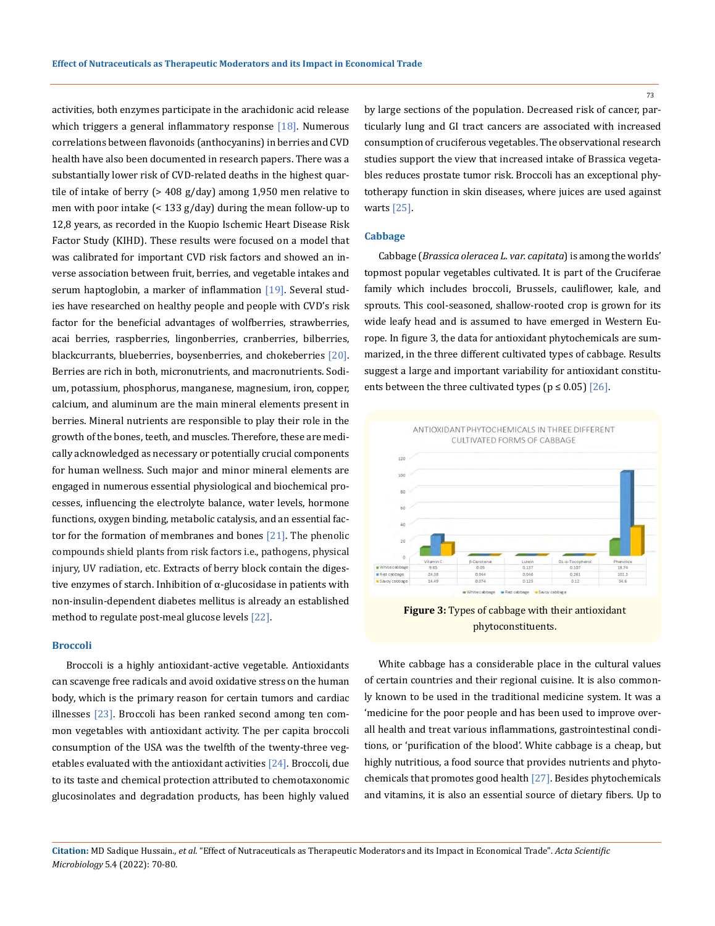activities, both enzymes participate in the arachidonic acid release which triggers a general inflammatory response  $[18]$ . Numerous correlations between flavonoids (anthocyanins) in berries and CVD health have also been documented in research papers. There was a substantially lower risk of CVD-related deaths in the highest quartile of intake of berry (> 408 g/day) among 1,950 men relative to men with poor intake (< 133 g/day) during the mean follow-up to 12,8 years, as recorded in the Kuopio Ischemic Heart Disease Risk Factor Study (KIHD). These results were focused on a model that was calibrated for important CVD risk factors and showed an inverse association between fruit, berries, and vegetable intakes and serum haptoglobin, a marker of inflammation  $[19]$ . Several studies have researched on healthy people and people with CVD's risk factor for the beneficial advantages of wolfberries, strawberries, acai berries, raspberries, lingonberries, cranberries, bilberries, blackcurrants, blueberries, boysenberries, and chokeberries [20]. Berries are rich in both, micronutrients, and macronutrients. Sodium, potassium, phosphorus, manganese, magnesium, iron, copper, calcium, and aluminum are the main mineral elements present in berries. Mineral nutrients are responsible to play their role in the growth of the bones, teeth, and muscles. Therefore, these are medically acknowledged as necessary or potentially crucial components for human wellness. Such major and minor mineral elements are engaged in numerous essential physiological and biochemical processes, influencing the electrolyte balance, water levels, hormone functions, oxygen binding, metabolic catalysis, and an essential factor for the formation of membranes and bones  $[21]$ . The phenolic compounds shield plants from risk factors i.e., pathogens, physical injury, UV radiation, etc. Extracts of berry block contain the digestive enzymes of starch. Inhibition of α-glucosidase in patients with non-insulin-dependent diabetes mellitus is already an established method to regulate post-meal glucose levels [22].

## **Broccoli**

Broccoli is a highly antioxidant-active vegetable. Antioxidants can scavenge free radicals and avoid oxidative stress on the human body, which is the primary reason for certain tumors and cardiac illnesses  $[23]$ . Broccoli has been ranked second among ten common vegetables with antioxidant activity. The per capita broccoli consumption of the USA was the twelfth of the twenty-three vegetables evaluated with the antioxidant activities [24]. Broccoli, due to its taste and chemical protection attributed to chemotaxonomic glucosinolates and degradation products, has been highly valued by large sections of the population. Decreased risk of cancer, particularly lung and GI tract cancers are associated with increased consumption of cruciferous vegetables. The observational research studies support the view that increased intake of Brassica vegetables reduces prostate tumor risk. Broccoli has an exceptional phytotherapy function in skin diseases, where juices are used against warts [25].

#### **Cabbage**

Cabbage (*Brassica oleracea L. var. capitata*) is among the worlds' topmost popular vegetables cultivated. It is part of the Cruciferae family which includes broccoli, Brussels, cauliflower, kale, and sprouts. This cool-seasoned, shallow-rooted crop is grown for its wide leafy head and is assumed to have emerged in Western Europe. In figure 3, the data for antioxidant phytochemicals are summarized, in the three different cultivated types of cabbage. Results suggest a large and important variability for antioxidant constituents between the three cultivated types ( $p \le 0.05$ ) [26].



**Figure 3:** Types of cabbage with their antioxidant phytoconstituents.

White cabbage has a considerable place in the cultural values of certain countries and their regional cuisine. It is also commonly known to be used in the traditional medicine system. It was a 'medicine for the poor people and has been used to improve overall health and treat various inflammations, gastrointestinal conditions, or 'purification of the blood'. White cabbage is a cheap, but highly nutritious, a food source that provides nutrients and phytochemicals that promotes good health [27]. Besides phytochemicals and vitamins, it is also an essential source of dietary fibers. Up to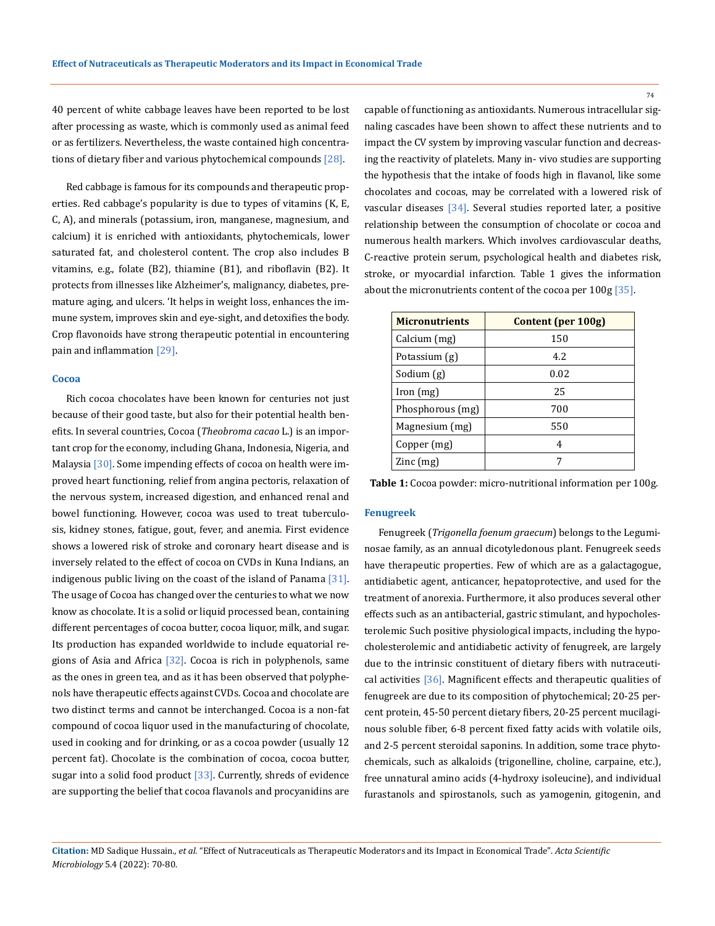40 percent of white cabbage leaves have been reported to be lost after processing as waste, which is commonly used as animal feed or as fertilizers. Nevertheless, the waste contained high concentrations of dietary fiber and various phytochemical compounds [28].

Red cabbage is famous for its compounds and therapeutic properties. Red cabbage's popularity is due to types of vitamins (K, E, C, A), and minerals (potassium, iron, manganese, magnesium, and calcium) it is enriched with antioxidants, phytochemicals, lower saturated fat, and cholesterol content. The crop also includes B vitamins, e.g., folate (B2), thiamine (B1), and riboflavin (B2). It protects from illnesses like Alzheimer's, malignancy, diabetes, premature aging, and ulcers. 'It helps in weight loss, enhances the immune system, improves skin and eye-sight, and detoxifies the body. Crop flavonoids have strong therapeutic potential in encountering pain and inflammation [29].

#### **Cocoa**

Rich cocoa chocolates have been known for centuries not just because of their good taste, but also for their potential health benefits. In several countries, Cocoa (*Theobroma cacao* L.) is an important crop for the economy, including Ghana, Indonesia, Nigeria, and Malaysia [30]. Some impending effects of cocoa on health were improved heart functioning, relief from angina pectoris, relaxation of the nervous system, increased digestion, and enhanced renal and bowel functioning. However, cocoa was used to treat tuberculosis, kidney stones, fatigue, gout, fever, and anemia. First evidence shows a lowered risk of stroke and coronary heart disease and is inversely related to the effect of cocoa on CVDs in Kuna Indians, an indigenous public living on the coast of the island of Panama [31]. The usage of Cocoa has changed over the centuries to what we now know as chocolate. It is a solid or liquid processed bean, containing different percentages of cocoa butter, cocoa liquor, milk, and sugar. Its production has expanded worldwide to include equatorial regions of Asia and Africa [32]. Cocoa is rich in polyphenols, same as the ones in green tea, and as it has been observed that polyphenols have therapeutic effects against CVDs. Cocoa and chocolate are two distinct terms and cannot be interchanged. Cocoa is a non-fat compound of cocoa liquor used in the manufacturing of chocolate, used in cooking and for drinking, or as a cocoa powder (usually 12 percent fat). Chocolate is the combination of cocoa, cocoa butter, sugar into a solid food product  $[33]$ . Currently, shreds of evidence are supporting the belief that cocoa flavanols and procyanidins are

capable of functioning as antioxidants. Numerous intracellular signaling cascades have been shown to affect these nutrients and to impact the CV system by improving vascular function and decreasing the reactivity of platelets. Many in- vivo studies are supporting the hypothesis that the intake of foods high in flavanol, like some chocolates and cocoas, may be correlated with a lowered risk of vascular diseases [34]. Several studies reported later, a positive relationship between the consumption of chocolate or cocoa and numerous health markers. Which involves cardiovascular deaths, C-reactive protein serum, psychological health and diabetes risk, stroke, or myocardial infarction. Table 1 gives the information about the micronutrients content of the cocoa per 100g [35].

| Content (per 100g) |
|--------------------|
| 150                |
| 4.2                |
| 0.02               |
| 25                 |
| 700                |
| 550                |
| 4                  |
| 7                  |
|                    |

**Table 1:** Cocoa powder: micro-nutritional information per 100g.

## **Fenugreek**

Fenugreek (*Trigonella foenum graecum*) belongs to the Leguminosae family, as an annual dicotyledonous plant. Fenugreek seeds have therapeutic properties. Few of which are as a galactagogue, antidiabetic agent, anticancer, hepatoprotective, and used for the treatment of anorexia. Furthermore, it also produces several other effects such as an antibacterial, gastric stimulant, and hypocholesterolemic Such positive physiological impacts, including the hypocholesterolemic and antidiabetic activity of fenugreek, are largely due to the intrinsic constituent of dietary fibers with nutraceutical activities [36]. Magnificent effects and therapeutic qualities of fenugreek are due to its composition of phytochemical; 20-25 percent protein, 45-50 percent dietary fibers, 20-25 percent mucilaginous soluble fiber, 6-8 percent fixed fatty acids with volatile oils, and 2-5 percent steroidal saponins. In addition, some trace phytochemicals, such as alkaloids (trigonelline, choline, carpaine, etc.), free unnatural amino acids (4-hydroxy isoleucine), and individual furastanols and spirostanols, such as yamogenin, gitogenin, and

**Citation:** MD Sadique Hussain*., et al.* "Effect of Nutraceuticals as Therapeutic Moderators and its Impact in Economical Trade". *Acta Scientific Microbiology* 5.4 (2022): 70-80.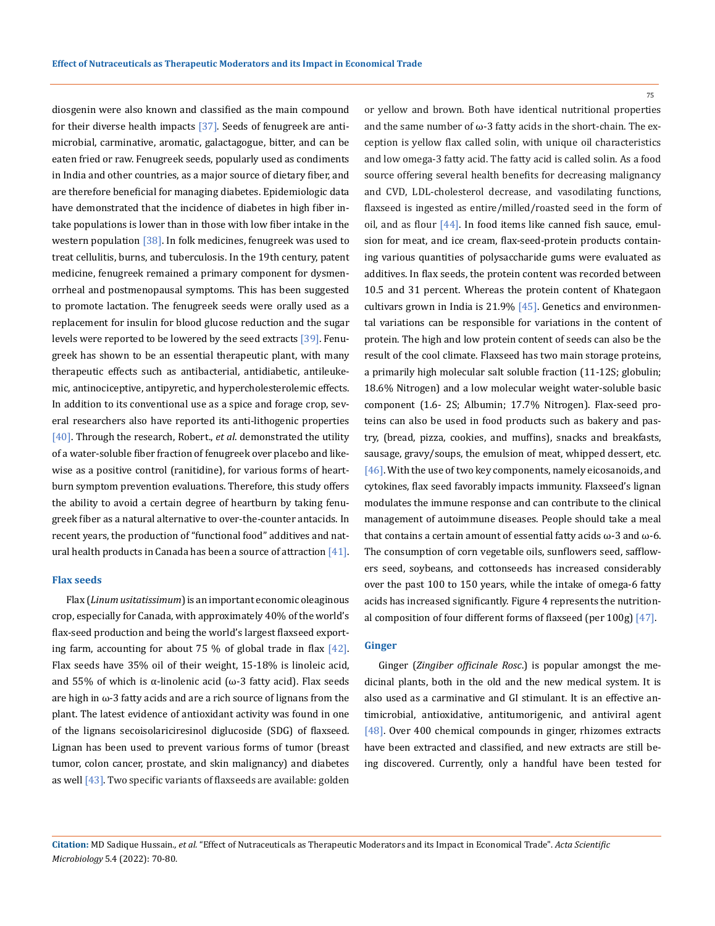diosgenin were also known and classified as the main compound for their diverse health impacts  $[37]$ . Seeds of fenugreek are antimicrobial, carminative, aromatic, galactagogue, bitter, and can be eaten fried or raw. Fenugreek seeds, popularly used as condiments in India and other countries, as a major source of dietary fiber, and are therefore beneficial for managing diabetes. Epidemiologic data have demonstrated that the incidence of diabetes in high fiber intake populations is lower than in those with low fiber intake in the western population [38]. In folk medicines, fenugreek was used to treat cellulitis, burns, and tuberculosis. In the 19th century, patent medicine, fenugreek remained a primary component for dysmenorrheal and postmenopausal symptoms. This has been suggested to promote lactation. The fenugreek seeds were orally used as a replacement for insulin for blood glucose reduction and the sugar levels were reported to be lowered by the seed extracts [39]. Fenugreek has shown to be an essential therapeutic plant, with many therapeutic effects such as antibacterial, antidiabetic, antileukemic, antinociceptive, antipyretic, and hypercholesterolemic effects. In addition to its conventional use as a spice and forage crop, several researchers also have reported its anti-lithogenic properties [40]. Through the research, Robert., *et al*. demonstrated the utility of a water-soluble fiber fraction of fenugreek over placebo and likewise as a positive control (ranitidine), for various forms of heartburn symptom prevention evaluations. Therefore, this study offers the ability to avoid a certain degree of heartburn by taking fenugreek fiber as a natural alternative to over-the-counter antacids. In recent years, the production of "functional food" additives and natural health products in Canada has been a source of attraction  $[41]$ .

#### **Flax seeds**

Flax (*Linum usitatissimum*) is an important economic oleaginous crop, especially for Canada, with approximately 40% of the world's flax-seed production and being the world's largest flaxseed exporting farm, accounting for about 75 % of global trade in flax  $[42]$ . Flax seeds have 35% oil of their weight, 15-18% is linoleic acid, and 55% of which is  $\alpha$ -linolenic acid ( $\omega$ -3 fatty acid). Flax seeds are high in  $\omega$ -3 fatty acids and are a rich source of lignans from the plant. The latest evidence of antioxidant activity was found in one of the lignans secoisolariciresinol diglucoside (SDG) of flaxseed. Lignan has been used to prevent various forms of tumor (breast tumor, colon cancer, prostate, and skin malignancy) and diabetes as well [43]. Two specific variants of flaxseeds are available: golden

or yellow and brown. Both have identical nutritional properties and the same number of  $\omega$ -3 fatty acids in the short-chain. The exception is yellow flax called solin, with unique oil characteristics and low omega-3 fatty acid. The fatty acid is called solin. As a food source offering several health benefits for decreasing malignancy and CVD, LDL-cholesterol decrease, and vasodilating functions, flaxseed is ingested as entire/milled/roasted seed in the form of oil, and as flour  $[44]$ . In food items like canned fish sauce, emulsion for meat, and ice cream, flax-seed-protein products containing various quantities of polysaccharide gums were evaluated as additives. In flax seeds, the protein content was recorded between 10.5 and 31 percent. Whereas the protein content of Khategaon cultivars grown in India is 21.9% [45]. Genetics and environmental variations can be responsible for variations in the content of protein. The high and low protein content of seeds can also be the result of the cool climate. Flaxseed has two main storage proteins, a primarily high molecular salt soluble fraction (11-12S; globulin; 18.6% Nitrogen) and a low molecular weight water-soluble basic component (1.6- 2S; Albumin; 17.7% Nitrogen). Flax-seed proteins can also be used in food products such as bakery and pastry, (bread, pizza, cookies, and muffins), snacks and breakfasts, sausage, gravy/soups, the emulsion of meat, whipped dessert, etc. [46]. With the use of two key components, namely eicosanoids, and cytokines, flax seed favorably impacts immunity. Flaxseed's lignan modulates the immune response and can contribute to the clinical management of autoimmune diseases. People should take a meal that contains a certain amount of essential fatty acids ω-3 and ω-6. The consumption of corn vegetable oils, sunflowers seed, safflowers seed, soybeans, and cottonseeds has increased considerably over the past 100 to 150 years, while the intake of omega-6 fatty acids has increased significantly. Figure 4 represents the nutritional composition of four different forms of flaxseed (per 100g) [47].

#### **Ginger**

Ginger (*Zingiber officinale Rosc*.) is popular amongst the medicinal plants, both in the old and the new medical system. It is also used as a carminative and GI stimulant. It is an effective antimicrobial, antioxidative, antitumorigenic, and antiviral agent [48]. Over 400 chemical compounds in ginger, rhizomes extracts have been extracted and classified, and new extracts are still being discovered. Currently, only a handful have been tested for

# **Citation:** MD Sadique Hussain*., et al.* "Effect of Nutraceuticals as Therapeutic Moderators and its Impact in Economical Trade". *Acta Scientific Microbiology* 5.4 (2022): 70-80.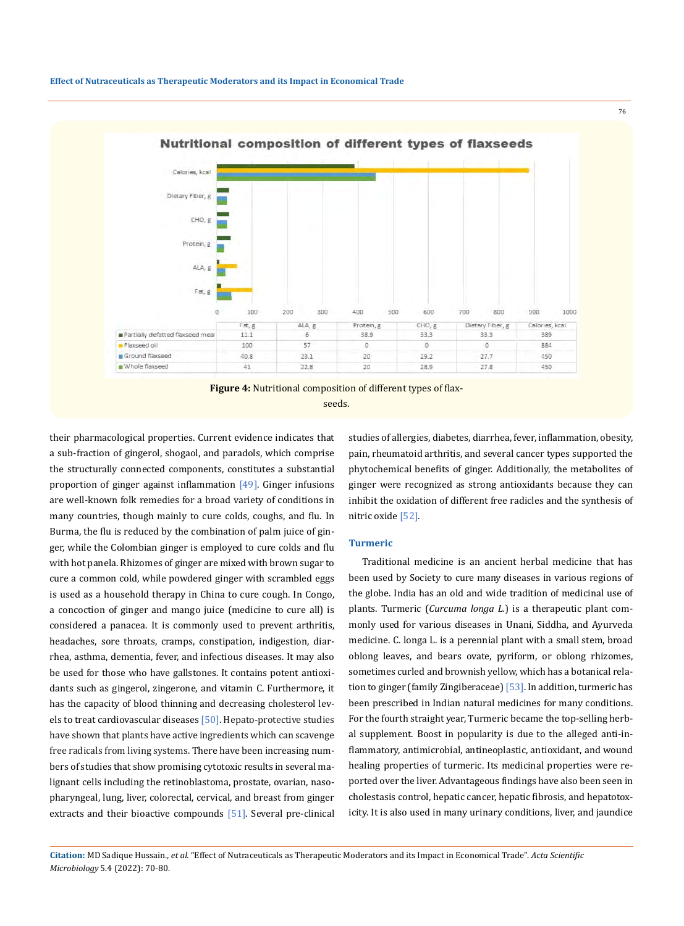



their pharmacological properties. Current evidence indicates that a sub-fraction of gingerol, shogaol, and paradols, which comprise the structurally connected components, constitutes a substantial proportion of ginger against inflammation  $[49]$ . Ginger infusions are well-known folk remedies for a broad variety of conditions in many countries, though mainly to cure colds, coughs, and flu. In Burma, the flu is reduced by the combination of palm juice of ginger, while the Colombian ginger is employed to cure colds and flu with hot panela. Rhizomes of ginger are mixed with brown sugar to cure a common cold, while powdered ginger with scrambled eggs is used as a household therapy in China to cure cough. In Congo, a concoction of ginger and mango juice (medicine to cure all) is considered a panacea. It is commonly used to prevent arthritis, headaches, sore throats, cramps, constipation, indigestion, diarrhea, asthma, dementia, fever, and infectious diseases. It may also be used for those who have gallstones. It contains potent antioxidants such as gingerol, zingerone, and vitamin C. Furthermore, it has the capacity of blood thinning and decreasing cholesterol levels to treat cardiovascular diseases [50]. Hepato-protective studies have shown that plants have active ingredients which can scavenge free radicals from living systems. There have been increasing numbers of studies that show promising cytotoxic results in several malignant cells including the retinoblastoma, prostate, ovarian, nasopharyngeal, lung, liver, colorectal, cervical, and breast from ginger extracts and their bioactive compounds [51]. Several pre-clinical studies of allergies, diabetes, diarrhea, fever, inflammation, obesity, pain, rheumatoid arthritis, and several cancer types supported the phytochemical benefits of ginger. Additionally, the metabolites of ginger were recognized as strong antioxidants because they can inhibit the oxidation of different free radicles and the synthesis of nitric oxide [52].

76

#### **Turmeric**

Traditional medicine is an ancient herbal medicine that has been used by Society to cure many diseases in various regions of the globe. India has an old and wide tradition of medicinal use of plants. Turmeric (*Curcuma longa L.*) is a therapeutic plant commonly used for various diseases in Unani, Siddha, and Ayurveda medicine. C. longa L. is a perennial plant with a small stem, broad oblong leaves, and bears ovate, pyriform, or oblong rhizomes, sometimes curled and brownish yellow, which has a botanical relation to ginger (family Zingiberaceae) [53]. In addition, turmeric has been prescribed in Indian natural medicines for many conditions. For the fourth straight year, Turmeric became the top-selling herbal supplement. Boost in popularity is due to the alleged anti-inflammatory, antimicrobial, antineoplastic, antioxidant, and wound healing properties of turmeric. Its medicinal properties were reported over the liver. Advantageous findings have also been seen in cholestasis control, hepatic cancer, hepatic fibrosis, and hepatotoxicity. It is also used in many urinary conditions, liver, and jaundice

**Citation:** MD Sadique Hussain*., et al.* "Effect of Nutraceuticals as Therapeutic Moderators and its Impact in Economical Trade". *Acta Scientific Microbiology* 5.4 (2022): 70-80.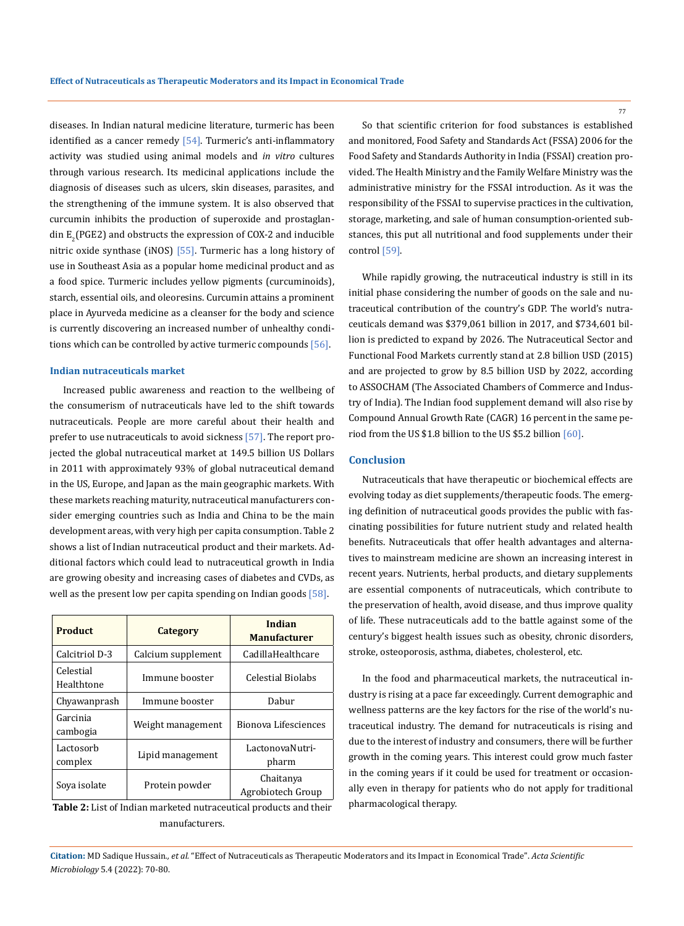diseases. In Indian natural medicine literature, turmeric has been identified as a cancer remedy  $[54]$ . Turmeric's anti-inflammatory activity was studied using animal models and *in vitro* cultures through various research. Its medicinal applications include the diagnosis of diseases such as ulcers, skin diseases, parasites, and the strengthening of the immune system. It is also observed that curcumin inhibits the production of superoxide and prostaglan- $\dim E_2(PGE2)$  and obstructs the expression of COX-2 and inducible nitric oxide synthase (iNOS) [55]. Turmeric has a long history of use in Southeast Asia as a popular home medicinal product and as a food spice. Turmeric includes yellow pigments (curcuminoids), starch, essential oils, and oleoresins. Curcumin attains a prominent place in Ayurveda medicine as a cleanser for the body and science is currently discovering an increased number of unhealthy conditions which can be controlled by active turmeric compounds  $[56]$ .

# **Indian nutraceuticals market**

Increased public awareness and reaction to the wellbeing of the consumerism of nutraceuticals have led to the shift towards nutraceuticals. People are more careful about their health and prefer to use nutraceuticals to avoid sickness [57]. The report projected the global nutraceutical market at 149.5 billion US Dollars in 2011 with approximately 93% of global nutraceutical demand in the US, Europe, and Japan as the main geographic markets. With these markets reaching maturity, nutraceutical manufacturers consider emerging countries such as India and China to be the main development areas, with very high per capita consumption. Table 2 shows a list of Indian nutraceutical product and their markets. Additional factors which could lead to nutraceutical growth in India are growing obesity and increasing cases of diabetes and CVDs, as well as the present low per capita spending on Indian goods [58].

| <b>Product</b>          | Category           | Indian<br><b>Manufacturer</b>  |
|-------------------------|--------------------|--------------------------------|
| Calcitriol D-3          | Calcium supplement | CadillaHealthcare              |
| Celestial<br>Healthtone | Immune booster     | Celestial Biolabs              |
| Chyawanprash            | Immune booster     | Dabur                          |
| Garcinia<br>cambogia    | Weight management  | Bionova Lifesciences           |
| Lactosorb<br>complex    | Lipid management   | LactonovaNutri-<br>pharm       |
| Sova isolate            | Protein powder     | Chaitanya<br>Agrobiotech Group |

**Table 2:** List of Indian marketed nutraceutical products and their manufacturers.

So that scientific criterion for food substances is established and monitored, Food Safety and Standards Act (FSSA) 2006 for the Food Safety and Standards Authority in India (FSSAI) creation provided. The Health Ministry and the Family Welfare Ministry was the administrative ministry for the FSSAI introduction. As it was the responsibility of the FSSAI to supervise practices in the cultivation, storage, marketing, and sale of human consumption-oriented substances, this put all nutritional and food supplements under their control [59].

While rapidly growing, the nutraceutical industry is still in its initial phase considering the number of goods on the sale and nutraceutical contribution of the country's GDP. The world's nutraceuticals demand was \$379,061 billion in 2017, and \$734,601 billion is predicted to expand by 2026. The Nutraceutical Sector and Functional Food Markets currently stand at 2.8 billion USD (2015) and are projected to grow by 8.5 billion USD by 2022, according to ASSOCHAM (The Associated Chambers of Commerce and Industry of India). The Indian food supplement demand will also rise by Compound Annual Growth Rate (CAGR) 16 percent in the same period from the US \$1.8 billion to the US \$5.2 billion [60].

# **Conclusion**

Nutraceuticals that have therapeutic or biochemical effects are evolving today as diet supplements/therapeutic foods. The emerging definition of nutraceutical goods provides the public with fascinating possibilities for future nutrient study and related health benefits. Nutraceuticals that offer health advantages and alternatives to mainstream medicine are shown an increasing interest in recent years. Nutrients, herbal products, and dietary supplements are essential components of nutraceuticals, which contribute to the preservation of health, avoid disease, and thus improve quality of life. These nutraceuticals add to the battle against some of the century's biggest health issues such as obesity, chronic disorders, stroke, osteoporosis, asthma, diabetes, cholesterol, etc.

In the food and pharmaceutical markets, the nutraceutical industry is rising at a pace far exceedingly. Current demographic and wellness patterns are the key factors for the rise of the world's nutraceutical industry. The demand for nutraceuticals is rising and due to the interest of industry and consumers, there will be further growth in the coming years. This interest could grow much faster in the coming years if it could be used for treatment or occasionally even in therapy for patients who do not apply for traditional pharmacological therapy.

**Citation:** MD Sadique Hussain*., et al.* "Effect of Nutraceuticals as Therapeutic Moderators and its Impact in Economical Trade". *Acta Scientific Microbiology* 5.4 (2022): 70-80.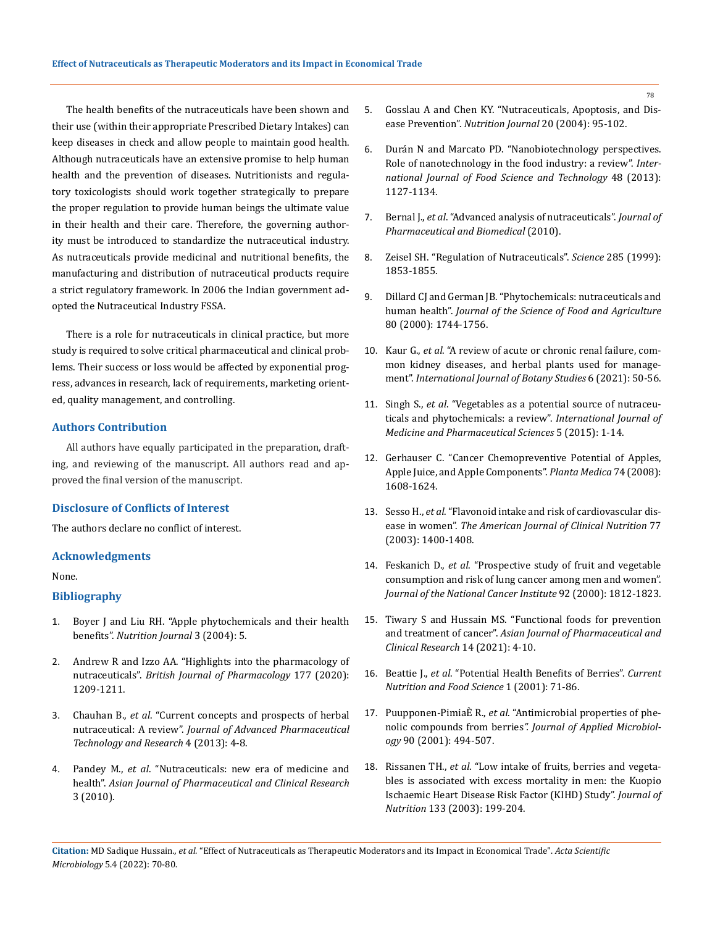The health benefits of the nutraceuticals have been shown and their use (within their appropriate Prescribed Dietary Intakes) can keep diseases in check and allow people to maintain good health. Although nutraceuticals have an extensive promise to help human health and the prevention of diseases. Nutritionists and regulatory toxicologists should work together strategically to prepare the proper regulation to provide human beings the ultimate value in their health and their care. Therefore, the governing authority must be introduced to standardize the nutraceutical industry. As nutraceuticals provide medicinal and nutritional benefits, the manufacturing and distribution of nutraceutical products require a strict regulatory framework. In 2006 the Indian government adopted the Nutraceutical Industry FSSA.

There is a role for nutraceuticals in clinical practice, but more study is required to solve critical pharmaceutical and clinical problems. Their success or loss would be affected by exponential progress, advances in research, lack of requirements, marketing oriented, quality management, and controlling.

# **Authors Contribution**

All authors have equally participated in the preparation, drafting, and reviewing of the manuscript. All authors read and approved the final version of the manuscript.

# **Disclosure of Conflicts of Interest**

The authors declare no conflict of interest.

## **Acknowledgments**

None.

# **Bibliography**

- 1. [Boyer J and Liu RH. "Apple phytochemicals and their health](https://nutritionj.biomedcentral.com/articles/10.1186/1475-2891-3-5)  benefits". *[Nutrition Journal](https://nutritionj.biomedcentral.com/articles/10.1186/1475-2891-3-5)* 3 (2004): 5.
- 2. [Andrew R and Izzo AA. "Highlights into the pharmacology of](https://pubmed.ncbi.nlm.nih.gov/32133625/)  nutraceuticals". *[British Journal of Pharmacology](https://pubmed.ncbi.nlm.nih.gov/32133625/)* 177 (2020): [1209-1211.](https://pubmed.ncbi.nlm.nih.gov/32133625/)
- 3. Chauhan B., *et al*[. "Current concepts and prospects of herbal](https://pubmed.ncbi.nlm.nih.gov/23662276/)  nutraceutical: A review". *[Journal of Advanced Pharmaceutical](https://pubmed.ncbi.nlm.nih.gov/23662276/)  [Technology and Research](https://pubmed.ncbi.nlm.nih.gov/23662276/)* 4 (2013): 4-8.
- 4. Pandey M., *et al*[. "Nutraceuticals: new era of medicine and](https://innovareacademics.in/journal/ajpcr/Vol3Issue1/265.pdf)  health". *[Asian Journal of Pharmaceutical and Clinical Research](https://innovareacademics.in/journal/ajpcr/Vol3Issue1/265.pdf)* [3 \(2010\).](https://innovareacademics.in/journal/ajpcr/Vol3Issue1/265.pdf)
- 5. [Gosslau A and Chen KY. "Nutraceuticals, Apoptosis, and Dis](https://pubmed.ncbi.nlm.nih.gov/14698022/)ease Prevention". *[Nutrition Journal](https://pubmed.ncbi.nlm.nih.gov/14698022/)* 20 (2004): 95-102.
- 6. [Durán N and Marcato PD. "Nanobiotechnology perspectives.](https://www.researchgate.net/publication/263571126_Nanobiotechnology_perspectives_Role_of_nanotechnology_in_the_food_industry_A_review)  [Role of nanotechnology in the food industry: a review".](https://www.researchgate.net/publication/263571126_Nanobiotechnology_perspectives_Role_of_nanotechnology_in_the_food_industry_A_review) *Inter[national Journal of Food Science and Technology](https://www.researchgate.net/publication/263571126_Nanobiotechnology_perspectives_Role_of_nanotechnology_in_the_food_industry_A_review)* 48 (2013): [1127-1134.](https://www.researchgate.net/publication/263571126_Nanobiotechnology_perspectives_Role_of_nanotechnology_in_the_food_industry_A_review)
- 7. Bernal J., *et al*[. "Advanced analysis of nutraceuticals".](file:///E:/ANUSHA/Acta/APRIL/ASMI/ASMI-22-RW-034/) *Journal of [Pharmaceutical and Biomedical](file:///E:/ANUSHA/Acta/APRIL/ASMI/ASMI-22-RW-034/)* (2010).
- 8. [Zeisel SH. "Regulation of Nutraceuticals".](https://pubmed.ncbi.nlm.nih.gov/10515789/) *Science* 285 (1999): [1853-1855.](https://pubmed.ncbi.nlm.nih.gov/10515789/)
- 9. Dillard CJ and German JB. "Phytochemicals: nutraceuticals and human health". *Journal of the Science of Food and Agriculture* 80 (2000): 1744-1756.
- 10. Kaur G., *et al*[. "A review of acute or chronic renal failure, com](https://www.researchgate.net/publication/348265902_A_Review_of_Acute_or_Chronic_Renal_Failure_Common_Kidney_Diseases_and_Herbal_Plants_Used_for_Management)[mon kidney diseases, and herbal plants used for manage](https://www.researchgate.net/publication/348265902_A_Review_of_Acute_or_Chronic_Renal_Failure_Common_Kidney_Diseases_and_Herbal_Plants_Used_for_Management)ment". *[International Journal of Botany Studies](https://www.researchgate.net/publication/348265902_A_Review_of_Acute_or_Chronic_Renal_Failure_Common_Kidney_Diseases_and_Herbal_Plants_Used_for_Management)* 6 (2021): 50-56.
- 11. Singh S., *et al*. "Vegetables as a potential source of nutraceuticals and phytochemicals: a review". *International Journal of Medicine and Pharmaceutical Sciences* 5 (2015): 1-14.
- 12. [Gerhauser C. "Cancer Chemopreventive Potential of Apples,](https://pubmed.ncbi.nlm.nih.gov/18855307/)  [Apple Juice, and Apple Components".](https://pubmed.ncbi.nlm.nih.gov/18855307/) *Planta Medica* 74 (2008): [1608-1624.](https://pubmed.ncbi.nlm.nih.gov/18855307/)
- 13. Sesso H., *et al*. "Flavonoid intake and risk of cardiovascular disease in women". *The American Journal of Clinical Nutrition* 77 (2003): 1400-1408.
- 14. Feskanich D., *et al*. "Prospective study of fruit and vegetable consumption and risk of lung cancer among men and women". *Journal of the National Cancer Institute* 92 (2000): 1812-1823.
- 15. Tiwary S and Hussain MS. "Functional foods for prevention and treatment of cancer". *Asian Journal of Pharmaceutical and Clinical Research* 14 (2021): 4-10.
- 16. Beattie J., *et al*. "Potential Health Benefits of Berries". *Current Nutrition and Food Science* 1 (2001): 71-86.
- 17. Puupponen-PimiaÈ R., *et al*[. "Antimicrobial properties of phe](https://pubmed.ncbi.nlm.nih.gov/11309059/)nolic compounds from berries*[". Journal of Applied Microbiol](https://pubmed.ncbi.nlm.nih.gov/11309059/)ogy* [90 \(2001\): 494-507.](https://pubmed.ncbi.nlm.nih.gov/11309059/)
- 18. Rissanen TH., *et al*[. "Low intake of fruits, berries and vegeta](https://pubmed.ncbi.nlm.nih.gov/12514290/)[bles is associated with excess mortality in men: the Kuopio](https://pubmed.ncbi.nlm.nih.gov/12514290/)  [Ischaemic Heart Disease Risk Factor \(KIHD\) Study".](https://pubmed.ncbi.nlm.nih.gov/12514290/) *Journal of Nutrition* [133 \(2003\): 199-204.](https://pubmed.ncbi.nlm.nih.gov/12514290/)

**Citation:** MD Sadique Hussain*., et al.* "Effect of Nutraceuticals as Therapeutic Moderators and its Impact in Economical Trade". *Acta Scientific Microbiology* 5.4 (2022): 70-80.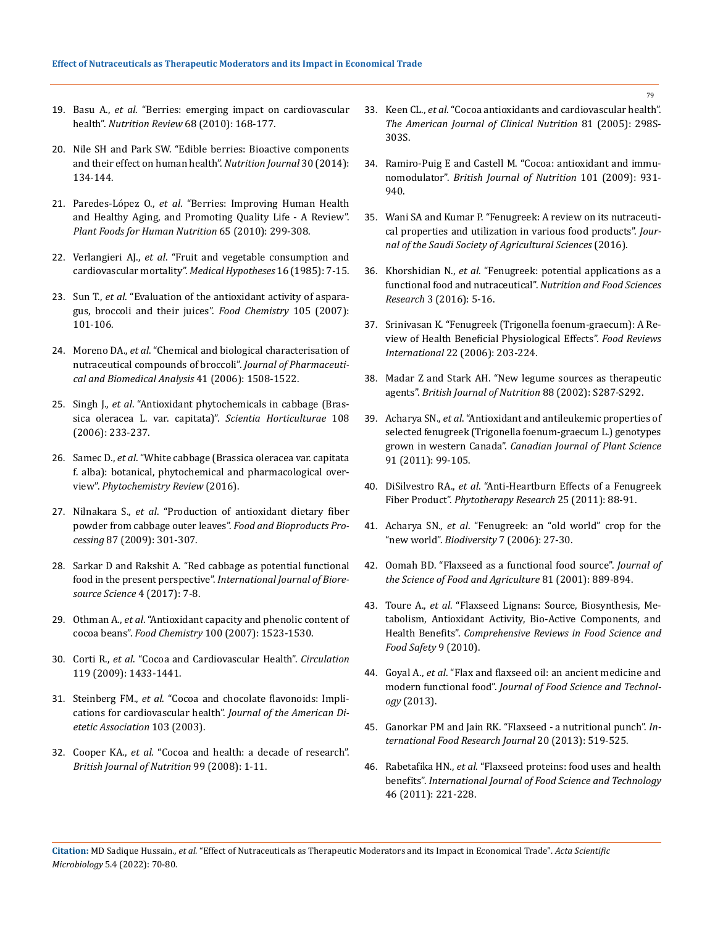- 19. Basu A., *et al*[. "Berries: emerging impact on cardiovascular](https://www.ncbi.nlm.nih.gov/pmc/articles/PMC3068482/)  health". *[Nutrition Review](https://www.ncbi.nlm.nih.gov/pmc/articles/PMC3068482/)* 68 (2010): 168-177.
- 20. [Nile SH and Park SW. "Edible berries: Bioactive components](https://pubmed.ncbi.nlm.nih.gov/24012283/)  [and their effect on human health".](https://pubmed.ncbi.nlm.nih.gov/24012283/) *Nutrition Journal* 30 (2014): [134-144.](https://pubmed.ncbi.nlm.nih.gov/24012283/)
- 21. Paredes-López O., *et al*[. "Berries: Improving Human Health](https://pubmed.ncbi.nlm.nih.gov/20645129/)  [and Healthy Aging, and Promoting Quality Life - A Review".](https://pubmed.ncbi.nlm.nih.gov/20645129/)  *[Plant Foods for Human Nutrition](https://pubmed.ncbi.nlm.nih.gov/20645129/)* 65 (2010): 299-308.
- 22. Verlangieri AJ., *et al*. "Fruit and vegetable consumption and cardiovascular mortality". *Medical Hypotheses* 16 (1985): 7-15.
- 23. Sun T., *et al*. "Evaluation of the antioxidant activity of asparagus, broccoli and their juices". *Food Chemistry* 105 (2007): 101-106.
- 24. Moreno DA., *et al*[. "Chemical and biological characterisation of](https://pubmed.ncbi.nlm.nih.gov/16713696/)  [nutraceutical compounds of broccoli".](https://pubmed.ncbi.nlm.nih.gov/16713696/) *Journal of Pharmaceuti[cal and Biomedical Analysis](https://pubmed.ncbi.nlm.nih.gov/16713696/)* 41 (2006): 1508-1522.
- 25. Singh J., *et al*. "Antioxidant phytochemicals in cabbage (Brassica oleracea L. var. capitata)". *Scientia Horticulturae* 108 (2006): 233-237.
- 26. Samec D., *et al*[. "White cabbage \(Brassica oleracea var. capitata](https://www.researchgate.net/publication/291816147_White_cabbage_Brassica_oleracea_var_capitata_f_alba_botanical_phytochemical_and_pharmacological_overview)  [f. alba\): botanical, phytochemical and pharmacological over](https://www.researchgate.net/publication/291816147_White_cabbage_Brassica_oleracea_var_capitata_f_alba_botanical_phytochemical_and_pharmacological_overview)view". *[Phytochemistry Review](https://www.researchgate.net/publication/291816147_White_cabbage_Brassica_oleracea_var_capitata_f_alba_botanical_phytochemical_and_pharmacological_overview)* (2016).
- 27. Nilnakara S., *et al*. "Production of antioxidant dietary fiber powder from cabbage outer leaves". *Food and Bioproducts Processing* 87 (2009): 301-307.
- 28. Sarkar D and Rakshit A. "Red cabbage as potential functional food in the present perspective". *International Journal of Bioresource Science* 4 (2017): 7-8.
- 29. Othman A., *et al*[. "Antioxidant capacity and phenolic content of](https://www.sciencedirect.com/science/article/abs/pii/S0308814605011064)  cocoa beans". *Food Chemistry* [100 \(2007\): 1523-1530.](https://www.sciencedirect.com/science/article/abs/pii/S0308814605011064)
- 30. Corti R., *et al*[. "Cocoa and Cardiovascular Health".](https://pubmed.ncbi.nlm.nih.gov/19289648/) *Circulation* [119 \(2009\): 1433-1441.](https://pubmed.ncbi.nlm.nih.gov/19289648/)
- 31. Steinberg FM., *et al*[. "Cocoa and chocolate flavonoids: Impli](https://pubmed.ncbi.nlm.nih.gov/12589329/)[cations for cardiovascular health".](https://pubmed.ncbi.nlm.nih.gov/12589329/) *Journal of the American Di[etetic Association](https://pubmed.ncbi.nlm.nih.gov/12589329/)* 103 (2003).
- 32. Cooper KA., *et al*[. "Cocoa and health: a decade of research".](https://pubmed.ncbi.nlm.nih.gov/17666148/)  *[British Journal of Nutrition](https://pubmed.ncbi.nlm.nih.gov/17666148/)* 99 (2008): 1-11.
- 33. Keen CL., *et al*[. "Cocoa antioxidants and cardiovascular health".](https://pubmed.ncbi.nlm.nih.gov/15640494/)  *[The American Journal of Clinical Nutrition](https://pubmed.ncbi.nlm.nih.gov/15640494/)* 81 (2005): 298S-[303S.](https://pubmed.ncbi.nlm.nih.gov/15640494/)
- 34. [Ramiro-Puig E and Castell M. "Cocoa: antioxidant and immu](https://pubmed.ncbi.nlm.nih.gov/19126261/)nomodulator". *[British Journal of Nutrition](https://pubmed.ncbi.nlm.nih.gov/19126261/)* 101 (2009): 931- [940.](https://pubmed.ncbi.nlm.nih.gov/19126261/)
- 35. Wani SA and Kumar P. "Fenugreek: A review on its nutraceutical properties and utilization in various food products". *Journal of the Saudi Society of Agricultural Sciences* (2016).
- 36. Khorshidian N., *et al*[. "Fenugreek: potential applications as a](https://www.researchgate.net/publication/313226914_Fenugreek_Potential_Applications_as_a_Functional_Food_and_Nutraceutical)  [functional food and nutraceutical".](https://www.researchgate.net/publication/313226914_Fenugreek_Potential_Applications_as_a_Functional_Food_and_Nutraceutical) *Nutrition and Food Sciences Research* [3 \(2016\): 5-16.](https://www.researchgate.net/publication/313226914_Fenugreek_Potential_Applications_as_a_Functional_Food_and_Nutraceutical)
- 37. Srinivasan K. "Fenugreek (Trigonella foenum-graecum): A Review of Health Beneficial Physiological Effects". *Food Reviews International* 22 (2006): 203-224.
- 38. Madar Z and Stark AH. "New legume sources as therapeutic agents". *British Journal of Nutrition* 88 (2002): S287-S292.
- 39. Acharya SN., *et al*[. "Antioxidant and antileukemic properties of](https://cdnsciencepub.com/doi/10.4141/cjps10025)  [selected fenugreek \(Trigonella foenum-graecum L.\) genotypes](https://cdnsciencepub.com/doi/10.4141/cjps10025)  grown in western Canada". *[Canadian Journal of Plant Science](https://cdnsciencepub.com/doi/10.4141/cjps10025)*  [91 \(2011\): 99-105.](https://cdnsciencepub.com/doi/10.4141/cjps10025)
- 40. DiSilvestro RA., *et al*[. "Anti-Heartburn Effects of a Fenugreek](https://pubmed.ncbi.nlm.nih.gov/20623611/)  Fiber Product". *[Phytotherapy Research](https://pubmed.ncbi.nlm.nih.gov/20623611/)* 25 (2011): 88-91.
- 41. Acharya SN., *et al*. "Fenugreek: an "old world" crop for the "new world". *Biodiversity* 7 (2006): 27-30.
- 42. Oomah BD. "Flaxseed as a functional food source". *Journal of the Science of Food and Agriculture* 81 (2001): 889-894.
- 43. Toure A., *et al*[. "Flaxseed Lignans: Source, Biosynthesis, Me](https://ift.onlinelibrary.wiley.com/doi/abs/10.1111/j.1541-4337.2009.00105.x)[tabolism, Antioxidant Activity, Bio-Active Components, and](https://ift.onlinelibrary.wiley.com/doi/abs/10.1111/j.1541-4337.2009.00105.x)  Health Benefits". *[Comprehensive Reviews in Food Science and](https://ift.onlinelibrary.wiley.com/doi/abs/10.1111/j.1541-4337.2009.00105.x)  [Food Safety](https://ift.onlinelibrary.wiley.com/doi/abs/10.1111/j.1541-4337.2009.00105.x)* 9 (2010).
- 44. Goyal A., *et al*. "Flax and flaxseed oil: an ancient medicine and modern functional food". *Journal of Food Science and Technology* (2013).
- 45. [Ganorkar PM and Jain RK. "Flaxseed a nutritional punch".](http://www.ifrj.upm.edu.my/20%20(02)%202013/1%20IFRJ%2020%20(02)%202013%20Ganorkar%20(236).pdf) *In[ternational Food Research Journal](http://www.ifrj.upm.edu.my/20%20(02)%202013/1%20IFRJ%2020%20(02)%202013%20Ganorkar%20(236).pdf)* 20 (2013): 519-525.
- 46. Rabetafika HN., *et al*. "Flaxseed proteins: food uses and health benefits". *International Journal of Food Science and Technology*  46 (2011): 221-228.